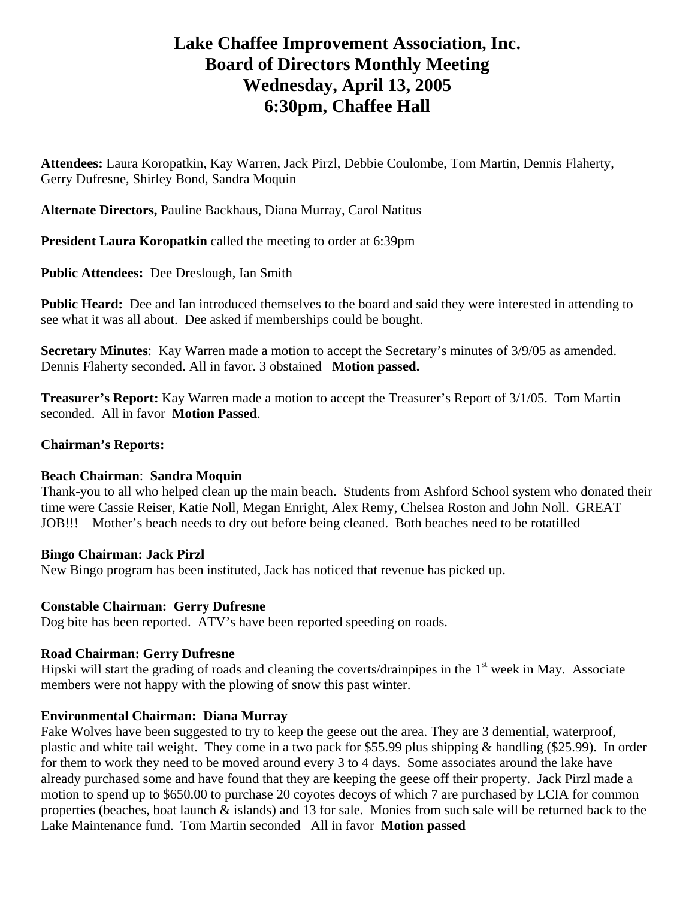# **Lake Chaffee Improvement Association, Inc. Board of Directors Monthly Meeting Wednesday, April 13, 2005 6:30pm, Chaffee Hall**

**Attendees:** Laura Koropatkin, Kay Warren, Jack Pirzl, Debbie Coulombe, Tom Martin, Dennis Flaherty, Gerry Dufresne, Shirley Bond, Sandra Moquin

**Alternate Directors,** Pauline Backhaus, Diana Murray, Carol Natitus

**President Laura Koropatkin** called the meeting to order at 6:39pm

**Public Attendees:** Dee Dreslough, Ian Smith

**Public Heard:** Dee and Ian introduced themselves to the board and said they were interested in attending to see what it was all about. Dee asked if memberships could be bought.

**Secretary Minutes**: Kay Warren made a motion to accept the Secretary's minutes of 3/9/05 as amended. Dennis Flaherty seconded. All in favor. 3 obstained **Motion passed.** 

**Treasurer's Report:** Kay Warren made a motion to accept the Treasurer's Report of 3/1/05. Tom Martin seconded. All in favor **Motion Passed**.

## **Chairman's Reports:**

# **Beach Chairman**: **Sandra Moquin**

Thank-you to all who helped clean up the main beach. Students from Ashford School system who donated their time were Cassie Reiser, Katie Noll, Megan Enright, Alex Remy, Chelsea Roston and John Noll. GREAT JOB!!! Mother's beach needs to dry out before being cleaned. Both beaches need to be rotatilled

### **Bingo Chairman: Jack Pirzl**

New Bingo program has been instituted, Jack has noticed that revenue has picked up.

### **Constable Chairman: Gerry Dufresne**

Dog bite has been reported. ATV's have been reported speeding on roads.

# **Road Chairman: Gerry Dufresne**

Hipski will start the grading of roads and cleaning the coverts/drainpipes in the  $1<sup>st</sup>$  week in May. Associate members were not happy with the plowing of snow this past winter.

# **Environmental Chairman: Diana Murray**

Fake Wolves have been suggested to try to keep the geese out the area. They are 3 demential, waterproof, plastic and white tail weight. They come in a two pack for \$55.99 plus shipping & handling (\$25.99). In order for them to work they need to be moved around every 3 to 4 days. Some associates around the lake have already purchased some and have found that they are keeping the geese off their property. Jack Pirzl made a motion to spend up to \$650.00 to purchase 20 coyotes decoys of which 7 are purchased by LCIA for common properties (beaches, boat launch & islands) and 13 for sale. Monies from such sale will be returned back to the Lake Maintenance fund. Tom Martin seconded All in favor **Motion passed**